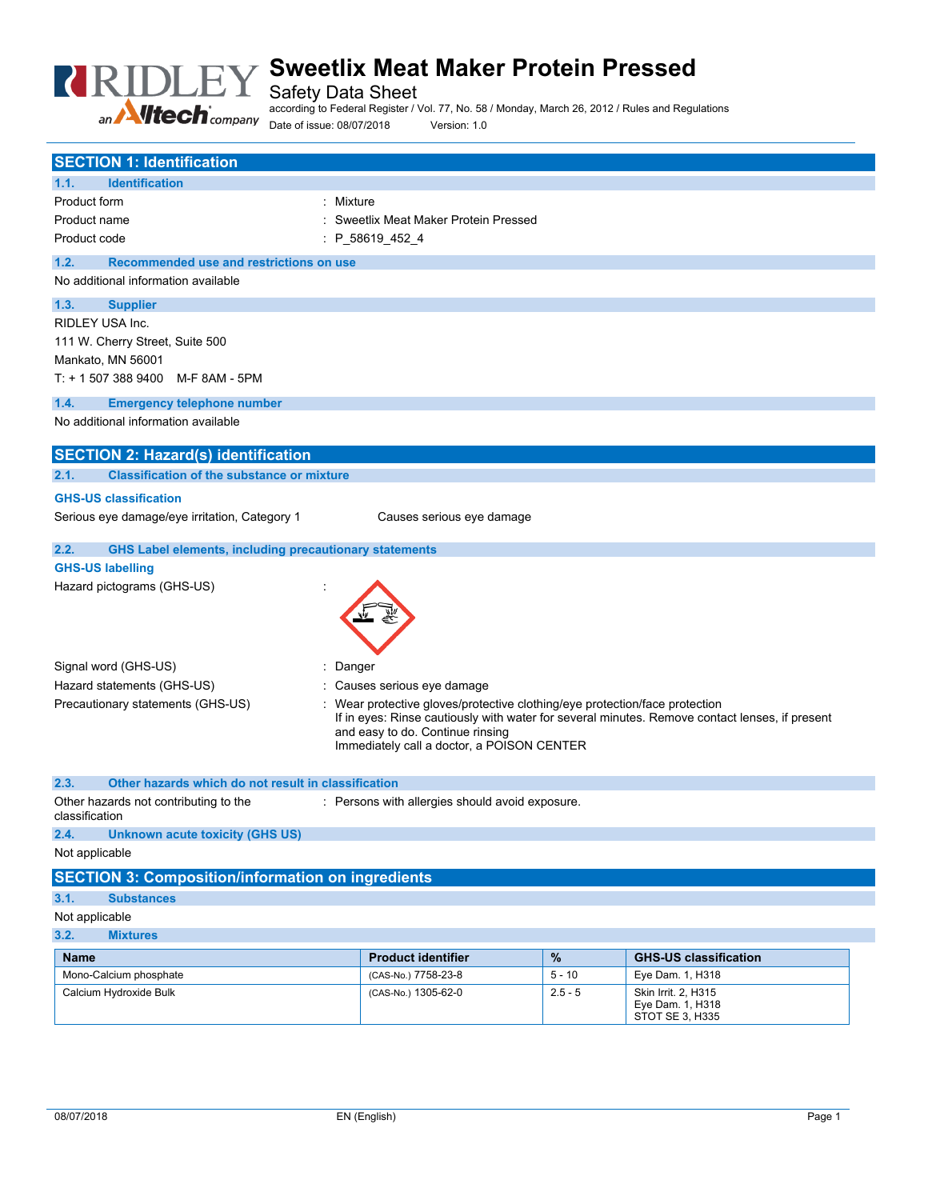

Safety Data Sheet

according to Federal Register / Vol. 77, No. 58 / Monday, March 26, 2012 / Rules and Regulations Date of issue: 08/07/2018 Version: 1.0

| <b>SECTION 1: Identification</b>                                      |                                                                                                                                                                             |           |                                                            |  |
|-----------------------------------------------------------------------|-----------------------------------------------------------------------------------------------------------------------------------------------------------------------------|-----------|------------------------------------------------------------|--|
| <b>Identification</b><br>1.1.                                         |                                                                                                                                                                             |           |                                                            |  |
| Product form<br>Mixture                                               |                                                                                                                                                                             |           |                                                            |  |
| Product name                                                          | Sweetlix Meat Maker Protein Pressed                                                                                                                                         |           |                                                            |  |
| Product code                                                          | $: P_{586194524}$                                                                                                                                                           |           |                                                            |  |
| Recommended use and restrictions on use<br>1.2.                       |                                                                                                                                                                             |           |                                                            |  |
| No additional information available                                   |                                                                                                                                                                             |           |                                                            |  |
| 1.3.<br><b>Supplier</b>                                               |                                                                                                                                                                             |           |                                                            |  |
| RIDLEY USA Inc.                                                       |                                                                                                                                                                             |           |                                                            |  |
| 111 W. Cherry Street, Suite 500                                       |                                                                                                                                                                             |           |                                                            |  |
| Mankato, MN 56001                                                     |                                                                                                                                                                             |           |                                                            |  |
| $T: + 15073889400$ M-F 8AM - 5PM                                      |                                                                                                                                                                             |           |                                                            |  |
| 1.4.<br><b>Emergency telephone number</b>                             |                                                                                                                                                                             |           |                                                            |  |
| No additional information available                                   |                                                                                                                                                                             |           |                                                            |  |
| <b>SECTION 2: Hazard(s) identification</b>                            |                                                                                                                                                                             |           |                                                            |  |
| <b>Classification of the substance or mixture</b><br>2.1.             |                                                                                                                                                                             |           |                                                            |  |
| <b>GHS-US classification</b>                                          |                                                                                                                                                                             |           |                                                            |  |
| Serious eye damage/eye irritation, Category 1                         | Causes serious eye damage                                                                                                                                                   |           |                                                            |  |
| 2.2.<br><b>GHS Label elements, including precautionary statements</b> |                                                                                                                                                                             |           |                                                            |  |
| <b>GHS-US labelling</b>                                               |                                                                                                                                                                             |           |                                                            |  |
| Hazard pictograms (GHS-US)                                            |                                                                                                                                                                             |           |                                                            |  |
|                                                                       |                                                                                                                                                                             |           |                                                            |  |
|                                                                       |                                                                                                                                                                             |           |                                                            |  |
|                                                                       |                                                                                                                                                                             |           |                                                            |  |
| Signal word (GHS-US)<br>Danger                                        |                                                                                                                                                                             |           |                                                            |  |
| Hazard statements (GHS-US)                                            | Causes serious eye damage                                                                                                                                                   |           |                                                            |  |
| Precautionary statements (GHS-US)                                     | Wear protective gloves/protective clothing/eye protection/face protection<br>If in eyes: Rinse cautiously with water for several minutes. Remove contact lenses, if present |           |                                                            |  |
|                                                                       | and easy to do. Continue rinsing                                                                                                                                            |           |                                                            |  |
|                                                                       | Immediately call a doctor, a POISON CENTER                                                                                                                                  |           |                                                            |  |
|                                                                       |                                                                                                                                                                             |           |                                                            |  |
| Other hazards which do not result in classification<br>2.3.           |                                                                                                                                                                             |           |                                                            |  |
| Other hazards not contributing to the<br>classification               | : Persons with allergies should avoid exposure.                                                                                                                             |           |                                                            |  |
| 2.4.<br><b>Unknown acute toxicity (GHS US)</b>                        |                                                                                                                                                                             |           |                                                            |  |
| Not applicable                                                        |                                                                                                                                                                             |           |                                                            |  |
| <b>SECTION 3: Composition/information on ingredients</b>              |                                                                                                                                                                             |           |                                                            |  |
| 3.1.<br><b>Substances</b>                                             |                                                                                                                                                                             |           |                                                            |  |
| Not applicable                                                        |                                                                                                                                                                             |           |                                                            |  |
| 3.2.<br><b>Mixtures</b>                                               |                                                                                                                                                                             |           |                                                            |  |
| Name                                                                  | <b>Product identifier</b>                                                                                                                                                   | $\%$      | <b>GHS-US classification</b>                               |  |
| Mono-Calcium phosphate                                                | (CAS-No.) 7758-23-8                                                                                                                                                         | $5 - 10$  | Eye Dam. 1, H318                                           |  |
| Calcium Hydroxide Bulk                                                | (CAS-No.) 1305-62-0                                                                                                                                                         | $2.5 - 5$ | Skin Irrit. 2, H315<br>Eye Dam. 1, H318<br>STOT SE 3, H335 |  |
|                                                                       |                                                                                                                                                                             |           |                                                            |  |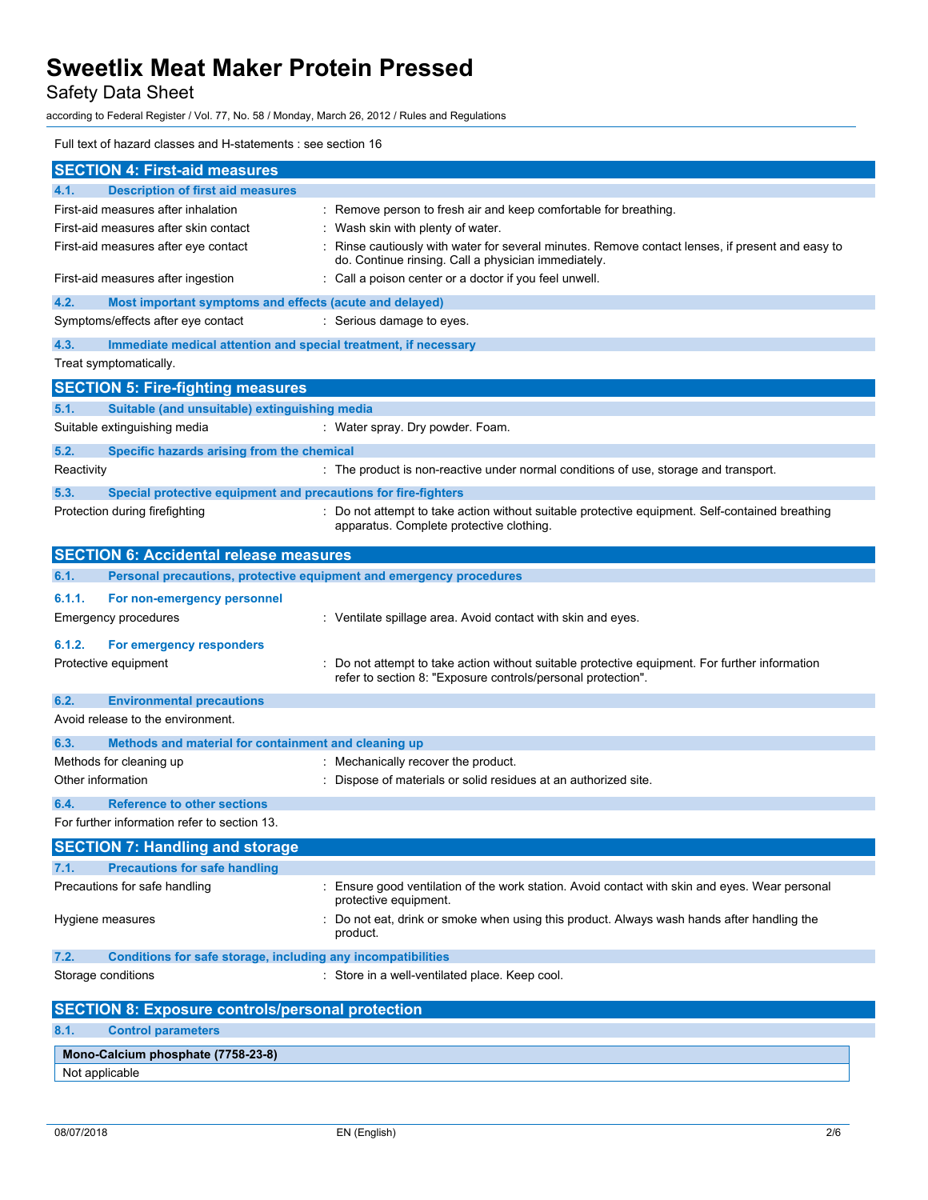Safety Data Sheet

according to Federal Register / Vol. 77, No. 58 / Monday, March 26, 2012 / Rules and Regulations

## Full text of hazard classes and H-statements : see section 16

| <b>SECTION 4: First-aid measures</b>                                        |                                                                                                                                                              |
|-----------------------------------------------------------------------------|--------------------------------------------------------------------------------------------------------------------------------------------------------------|
| <b>Description of first aid measures</b><br>4.1.                            |                                                                                                                                                              |
| First-aid measures after inhalation                                         | : Remove person to fresh air and keep comfortable for breathing.                                                                                             |
| First-aid measures after skin contact                                       | : Wash skin with plenty of water.                                                                                                                            |
| First-aid measures after eve contact                                        | : Rinse cautiously with water for several minutes. Remove contact lenses, if present and easy to<br>do. Continue rinsing. Call a physician immediately.      |
| First-aid measures after ingestion                                          | : Call a poison center or a doctor if you feel unwell.                                                                                                       |
| 4.2.<br>Most important symptoms and effects (acute and delayed)             |                                                                                                                                                              |
| Symptoms/effects after eye contact                                          | : Serious damage to eyes.                                                                                                                                    |
| 4.3.<br>Immediate medical attention and special treatment, if necessary     |                                                                                                                                                              |
| Treat symptomatically.                                                      |                                                                                                                                                              |
| <b>SECTION 5: Fire-fighting measures</b>                                    |                                                                                                                                                              |
| Suitable (and unsuitable) extinguishing media<br>5.1.                       |                                                                                                                                                              |
| Suitable extinguishing media                                                | : Water spray. Dry powder. Foam.                                                                                                                             |
| 5.2.<br>Specific hazards arising from the chemical                          |                                                                                                                                                              |
| Reactivity                                                                  | : The product is non-reactive under normal conditions of use, storage and transport.                                                                         |
| Special protective equipment and precautions for fire-fighters<br>5.3.      |                                                                                                                                                              |
| Protection during firefighting                                              | : Do not attempt to take action without suitable protective equipment. Self-contained breathing<br>apparatus. Complete protective clothing.                  |
| <b>SECTION 6: Accidental release measures</b>                               |                                                                                                                                                              |
| Personal precautions, protective equipment and emergency procedures<br>6.1. |                                                                                                                                                              |
| 6.1.1.<br>For non-emergency personnel                                       |                                                                                                                                                              |
| <b>Emergency procedures</b>                                                 | : Ventilate spillage area. Avoid contact with skin and eyes.                                                                                                 |
| 6.1.2.<br>For emergency responders                                          |                                                                                                                                                              |
| Protective equipment                                                        | Do not attempt to take action without suitable protective equipment. For further information<br>refer to section 8: "Exposure controls/personal protection". |
| <b>Environmental precautions</b><br>6.2.                                    |                                                                                                                                                              |
| Avoid release to the environment.                                           |                                                                                                                                                              |
| 6.3.<br>Methods and material for containment and cleaning up                |                                                                                                                                                              |
| Methods for cleaning up                                                     | : Mechanically recover the product.                                                                                                                          |
| Other information                                                           | : Dispose of materials or solid residues at an authorized site.                                                                                              |
| <b>Reference to other sections</b><br>6.4.                                  |                                                                                                                                                              |
| For further information refer to section 13.                                |                                                                                                                                                              |
| <b>SECTION 7: Handling and storage</b>                                      |                                                                                                                                                              |
| <b>Precautions for safe handling</b><br>7.1.                                |                                                                                                                                                              |
| Precautions for safe handling                                               | Ensure good ventilation of the work station. Avoid contact with skin and eyes. Wear personal<br>protective equipment.                                        |
| Hygiene measures                                                            | : Do not eat, drink or smoke when using this product. Always wash hands after handling the<br>product.                                                       |
| 7.2.<br>Conditions for safe storage, including any incompatibilities        |                                                                                                                                                              |
| Storage conditions                                                          | : Store in a well-ventilated place. Keep cool.                                                                                                               |
| <b>SECTION 8: Exposure controls/personal protection</b>                     |                                                                                                                                                              |
| 8.1.<br><b>Control parameters</b>                                           |                                                                                                                                                              |
| Mono-Calcium phosphate (7758-23-8)<br>Not applicable                        |                                                                                                                                                              |
|                                                                             |                                                                                                                                                              |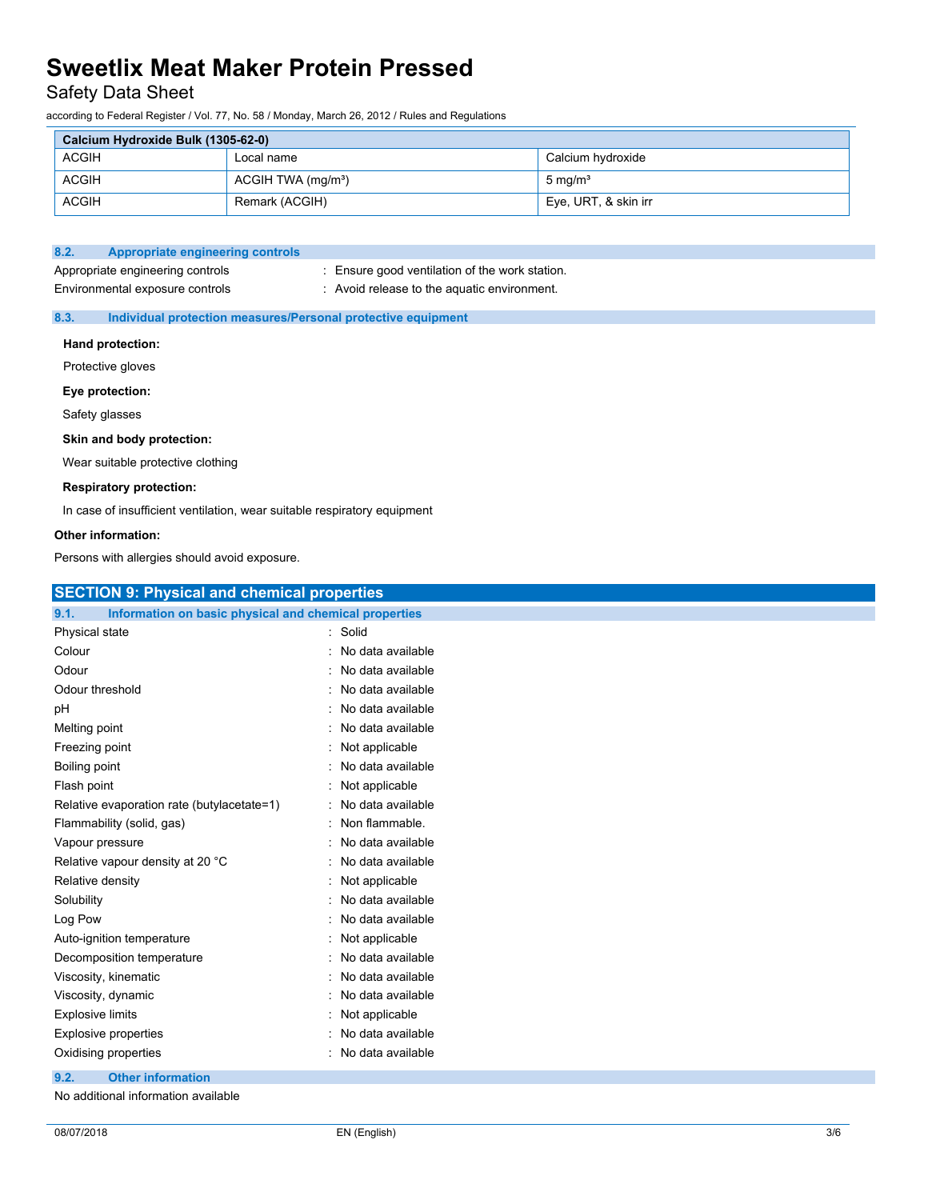## Safety Data Sheet

according to Federal Register / Vol. 77, No. 58 / Monday, March 26, 2012 / Rules and Regulations

| Calcium Hydroxide Bulk (1305-62-0) |                                |                      |
|------------------------------------|--------------------------------|----------------------|
| <b>ACGIH</b>                       | Local name                     | Calcium hydroxide    |
| <b>ACGIH</b>                       | ACGIH TWA (mg/m <sup>3</sup> ) | $5 \text{ mg/m}^3$   |
| <b>ACGIH</b>                       | Remark (ACGIH)                 | Eye, URT, & skin irr |

## **8.2. Appropriate engineering controls**

Appropriate engineering controls : Ensure good ventilation of the work station. Environmental exposure controls : Avoid release to the aquatic environment.

## **8.3. Individual protection measures/Personal protective equipment**

### **Hand protection:**

Protective gloves

#### **Eye protection:**

Safety glasses

### **Skin and body protection:**

Wear suitable protective clothing

### **Respiratory protection:**

In case of insufficient ventilation, wear suitable respiratory equipment

### **Other information:**

Persons with allergies should avoid exposure.

| <b>SECTION 9: Physical and chemical properties</b>            |                     |
|---------------------------------------------------------------|---------------------|
| Information on basic physical and chemical properties<br>9.1. |                     |
| Physical state                                                | : Solid             |
| Colour                                                        | No data available   |
| Odour                                                         | : No data available |
| Odour threshold                                               | : No data available |
| рH                                                            | : No data available |
| Melting point                                                 | No data available   |
| Freezing point                                                | Not applicable      |
| Boiling point                                                 | No data available   |
| Flash point                                                   | Not applicable      |
| Relative evaporation rate (butylacetate=1)                    | No data available   |
| Flammability (solid, gas)                                     | : Non flammable.    |
| Vapour pressure                                               | No data available   |
| Relative vapour density at 20 °C                              | : No data available |
| Relative density                                              | : Not applicable    |
| Solubility                                                    | : No data available |
| Log Pow                                                       | : No data available |
| Auto-ignition temperature                                     | : Not applicable    |
| Decomposition temperature                                     | No data available   |
| Viscosity, kinematic                                          | : No data available |
| Viscosity, dynamic                                            | No data available   |
| <b>Explosive limits</b>                                       | Not applicable      |
| <b>Explosive properties</b>                                   | : No data available |
| Oxidising properties                                          | : No data available |
| <b>Other information</b><br>9.2.                              |                     |
| No additional information available                           |                     |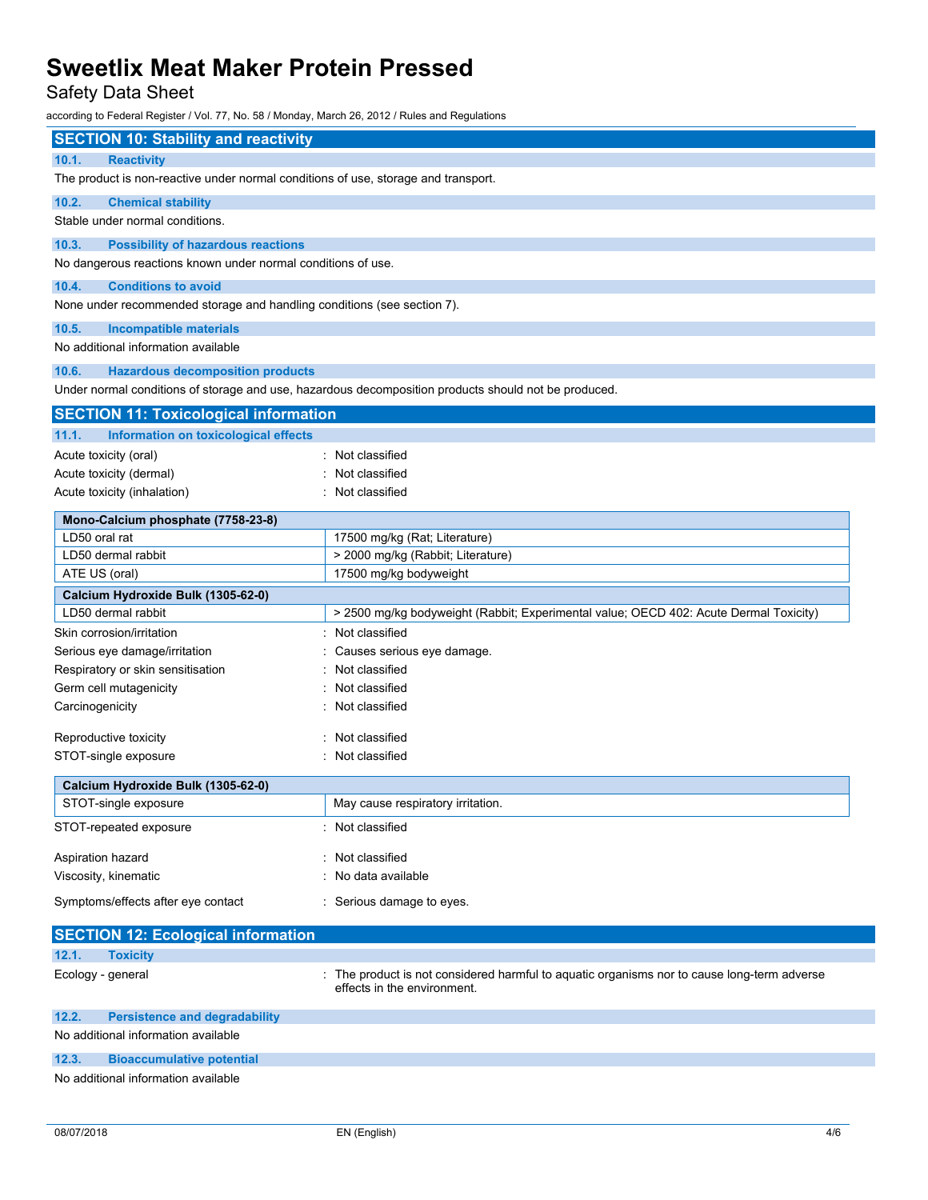Safety Data Sheet

according to Federal Register / Vol. 77, No. 58 / Monday, March 26, 2012 / Rules and Regulations

| <b>SECTION 10: Stability and reactivity</b>                                        |                                                                                                                            |
|------------------------------------------------------------------------------------|----------------------------------------------------------------------------------------------------------------------------|
| 10.1.<br><b>Reactivity</b>                                                         |                                                                                                                            |
| The product is non-reactive under normal conditions of use, storage and transport. |                                                                                                                            |
|                                                                                    |                                                                                                                            |
| 10.2.<br><b>Chemical stability</b>                                                 |                                                                                                                            |
| Stable under normal conditions.                                                    |                                                                                                                            |
| 10.3.<br><b>Possibility of hazardous reactions</b>                                 |                                                                                                                            |
| No dangerous reactions known under normal conditions of use.                       |                                                                                                                            |
| 10.4.<br><b>Conditions to avoid</b>                                                |                                                                                                                            |
| None under recommended storage and handling conditions (see section 7).            |                                                                                                                            |
| 10.5.<br><b>Incompatible materials</b>                                             |                                                                                                                            |
| No additional information available                                                |                                                                                                                            |
| 10.6.<br><b>Hazardous decomposition products</b>                                   |                                                                                                                            |
|                                                                                    | Under normal conditions of storage and use, hazardous decomposition products should not be produced.                       |
| <b>SECTION 11: Toxicological information</b>                                       |                                                                                                                            |
|                                                                                    |                                                                                                                            |
| 11.1.<br>Information on toxicological effects                                      |                                                                                                                            |
| Acute toxicity (oral)                                                              | : Not classified                                                                                                           |
| Acute toxicity (dermal)                                                            | Not classified                                                                                                             |
| Acute toxicity (inhalation)                                                        | : Not classified                                                                                                           |
| Mono-Calcium phosphate (7758-23-8)                                                 |                                                                                                                            |
| LD50 oral rat                                                                      | 17500 mg/kg (Rat; Literature)                                                                                              |
| LD50 dermal rabbit                                                                 | > 2000 mg/kg (Rabbit; Literature)                                                                                          |
| ATE US (oral)                                                                      | 17500 mg/kg bodyweight                                                                                                     |
| Calcium Hydroxide Bulk (1305-62-0)                                                 |                                                                                                                            |
| LD50 dermal rabbit                                                                 | > 2500 mg/kg bodyweight (Rabbit; Experimental value; OECD 402: Acute Dermal Toxicity)                                      |
| Skin corrosion/irritation                                                          | Not classified                                                                                                             |
| Serious eye damage/irritation                                                      | Causes serious eye damage.                                                                                                 |
| Respiratory or skin sensitisation                                                  | Not classified                                                                                                             |
| Germ cell mutagenicity                                                             | Not classified                                                                                                             |
| Carcinogenicity                                                                    | Not classified                                                                                                             |
| Reproductive toxicity                                                              | : Not classified                                                                                                           |
| STOT-single exposure                                                               | : Not classified                                                                                                           |
|                                                                                    |                                                                                                                            |
| Calcium Hydroxide Bulk (1305-62-0)                                                 |                                                                                                                            |
| STOT-single exposure                                                               | May cause respiratory irritation.                                                                                          |
| STOT-repeated exposure                                                             | : Not classified                                                                                                           |
| Aspiration hazard                                                                  | Not classified                                                                                                             |
| Viscosity, kinematic                                                               | No data available                                                                                                          |
| Symptoms/effects after eye contact                                                 | : Serious damage to eyes.                                                                                                  |
| <b>SECTION 12: Ecological information</b>                                          |                                                                                                                            |
| 12.1.<br><b>Toxicity</b>                                                           |                                                                                                                            |
| Ecology - general                                                                  | : The product is not considered harmful to aquatic organisms nor to cause long-term adverse<br>effects in the environment. |
| 12.2.<br><b>Persistence and degradability</b>                                      |                                                                                                                            |
| No additional information available                                                |                                                                                                                            |
| 12.3.<br><b>Bioaccumulative potential</b>                                          |                                                                                                                            |
| No additional information available                                                |                                                                                                                            |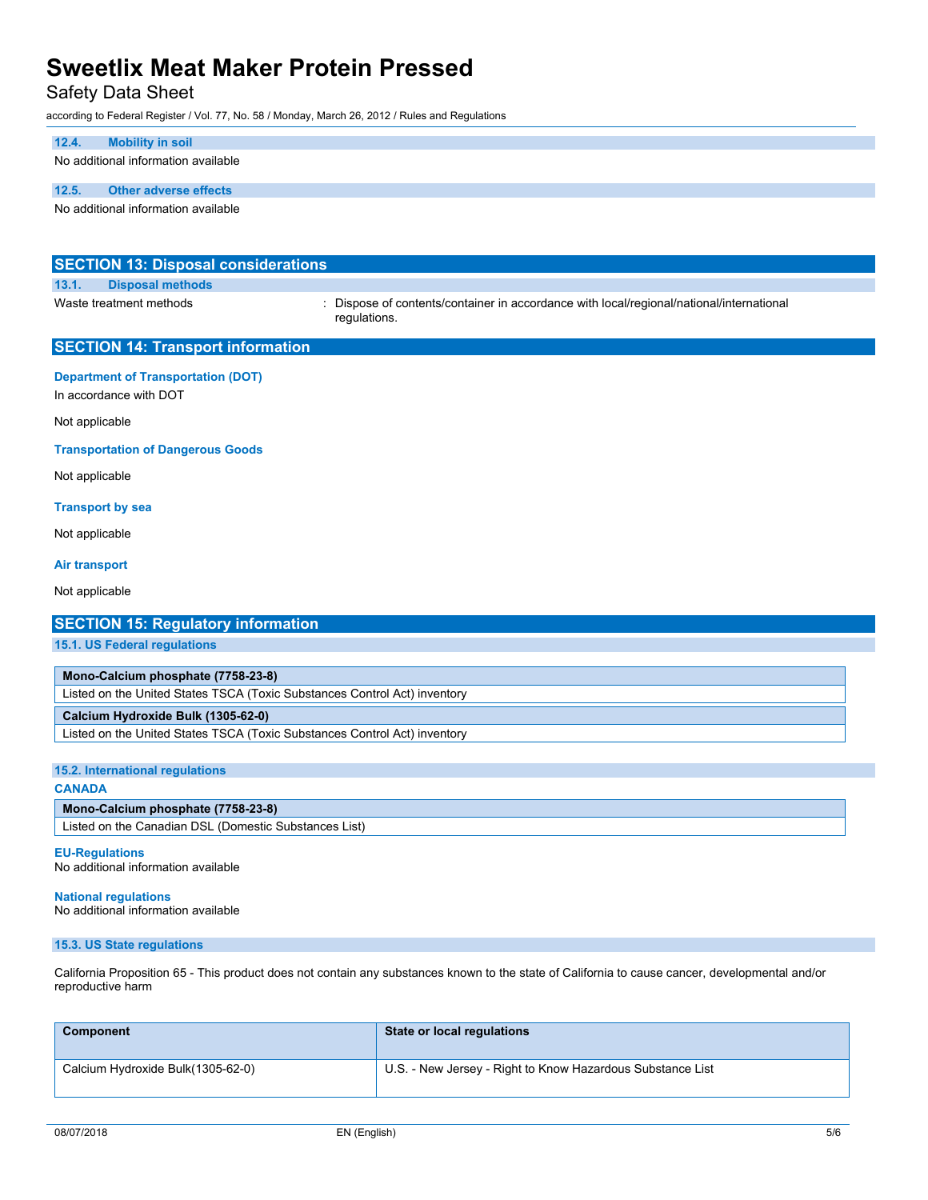## Safety Data Sheet

according to Federal Register / Vol. 77, No. 58 / Monday, March 26, 2012 / Rules and Regulations

#### **12.4. Mobility in soil**

No additional information available

## **12.5. Other adverse effects**

No additional information available

| <b>SECTION 13: Disposal considerations</b>                          |                                                                                                          |
|---------------------------------------------------------------------|----------------------------------------------------------------------------------------------------------|
| 13.1.<br><b>Disposal methods</b>                                    |                                                                                                          |
| Waste treatment methods                                             | : Dispose of contents/container in accordance with local/regional/national/international<br>regulations. |
| <b>SECTION 14: Transport information</b>                            |                                                                                                          |
| <b>Department of Transportation (DOT)</b><br>In accordance with DOT |                                                                                                          |
| Not applicable                                                      |                                                                                                          |
| <b>Transportation of Dangerous Goods</b>                            |                                                                                                          |
| Not applicable                                                      |                                                                                                          |
| <b>Transport by sea</b>                                             |                                                                                                          |
| Not applicable                                                      |                                                                                                          |

#### **Air transport**

Not applicable

## **SECTION 15: Regulatory information**

**15.1. US Federal regulations**

**Mono-Calcium phosphate (7758-23-8)**

Listed on the United States TSCA (Toxic Substances Control Act) inventory

## **Calcium Hydroxide Bulk (1305-62-0)**

Listed on the United States TSCA (Toxic Substances Control Act) inventory

#### **15.2. International regulations**

#### **CANADA**

#### **Mono-Calcium phosphate (7758-23-8)**

Listed on the Canadian DSL (Domestic Substances List)

#### **EU-Regulations**

No additional information available

## No additional information available

**National regulations**

### **15.3. US State regulations**

California Proposition 65 - This product does not contain any substances known to the state of California to cause cancer, developmental and/or reproductive harm

| Component                         | State or local regulations                                 |
|-----------------------------------|------------------------------------------------------------|
| Calcium Hydroxide Bulk(1305-62-0) | U.S. - New Jersey - Right to Know Hazardous Substance List |